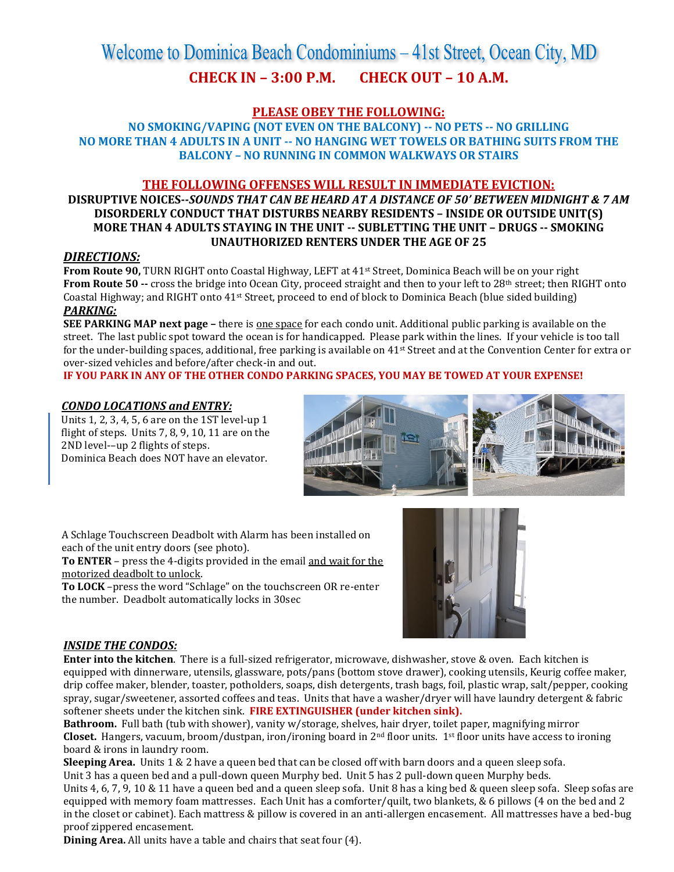# Welcome to Dominica Beach Condominiums – 41st Street, Ocean City, MD **CHECK IN – 3:00 P.M. CHECK OUT – 10 A.M.**

# **PLEASE OBEY THE FOLLOWING:**

**NO SMOKING/VAPING (NOT EVEN ON THE BALCONY) -- NO PETS -- NO GRILLING NO MORE THAN 4 ADULTS IN A UNIT -- NO HANGING WET TOWELS OR BATHING SUITS FROM THE BALCONY – NO RUNNING IN COMMON WALKWAYS OR STAIRS**

# **THE FOLLOWING OFFENSES WILL RESULT IN IMMEDIATE EVICTION:**

# **DISRUPTIVE NOICES--***SOUNDS THAT CAN BE HEARD AT A DISTANCE OF 50' BETWEEN MIDNIGHT & 7 AM*  **DISORDERLY CONDUCT THAT DISTURBS NEARBY RESIDENTS – INSIDE OR OUTSIDE UNIT(S) MORE THAN 4 ADULTS STAYING IN THE UNIT -- SUBLETTING THE UNIT – DRUGS -- SMOKING UNAUTHORIZED RENTERS UNDER THE AGE OF 25**

#### *DIRECTIONS:*

**From Route 90, TURN RIGHT onto Coastal Highway, LEFT at 41<sup>st</sup> Street, Dominica Beach will be on your right From Route 50 --** cross the bridge into Ocean City, proceed straight and then to your left to 28<sup>th</sup> street; then RIGHT onto Coastal Highway; and RIGHT onto 41st Street, proceed to end of block to Dominica Beach (blue sided building) *PARKING:*

**SEE PARKING MAP next page –** there is one space for each condo unit. Additional public parking is available on the street. The last public spot toward the ocean is for handicapped. Please park within the lines. If your vehicle is too tall for the under-building spaces, additional, free parking is available on 41st Street and at the Convention Center for extra or over-sized vehicles and before/after check-in and out.

**IF YOU PARK IN ANY OF THE OTHER CONDO PARKING SPACES, YOU MAY BE TOWED AT YOUR EXPENSE!**

### *CONDO LOCATIONS and ENTRY:*

Units 1, 2, 3, 4, 5, 6 are on the 1ST level-up 1 flight of steps. Units 7, 8, 9, 10, 11 are on the 2ND level-–up 2 flights of steps. Dominica Beach does NOT have an elevator.



A Schlage Touchscreen Deadbolt with Alarm has been installed on each of the unit entry doors (see photo).

**To ENTER** – press the 4-digits provided in the email and wait for the motorized deadbolt to unlock.

**To LOCK** –press the word "Schlage" on the touchscreen OR re-enter the number. Deadbolt automatically locks in 30sec



### *INSIDE THE CONDOS:*

**Enter into the kitchen**. There is a full-sized refrigerator, microwave, dishwasher, stove & oven. Each kitchen is equipped with dinnerware, utensils, glassware, pots/pans (bottom stove drawer), cooking utensils, Keurig coffee maker, drip coffee maker, blender, toaster, potholders, soaps, dish detergents, trash bags, foil, plastic wrap, salt/pepper, cooking spray, sugar/sweetener, assorted coffees and teas. Units that have a washer/dryer will have laundry detergent & fabric softener sheets under the kitchen sink. **FIRE EXTINGUISHER (under kitchen sink).**

**Bathroom.** Full bath (tub with shower), vanity w/storage, shelves, hair dryer, toilet paper, magnifying mirror **Closet.** Hangers, vacuum, broom/dustpan, iron/ironing board in 2nd floor units. 1st floor units have access to ironing board & irons in laundry room.

**Sleeping Area.** Units 1 & 2 have a queen bed that can be closed off with barn doors and a queen sleep sofa. Unit 3 has a queen bed and a pull-down queen Murphy bed. Unit 5 has 2 pull-down queen Murphy beds.

Units 4, 6, 7, 9, 10 & 11 have a queen bed and a queen sleep sofa. Unit 8 has a king bed & queen sleep sofa. Sleep sofas are equipped with memory foam mattresses. Each Unit has a comforter/quilt, two blankets, & 6 pillows (4 on the bed and 2 in the closet or cabinet). Each mattress & pillow is covered in an anti-allergen encasement. All mattresses have a bed-bug proof zippered encasement.

**Dining Area.** All units have a table and chairs that seat four (4).